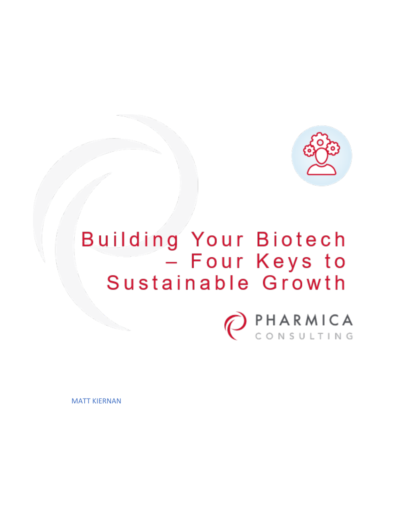

# Building Your Biotech<br>- Four Keys to Sustainable Growth



MATT KIERNAN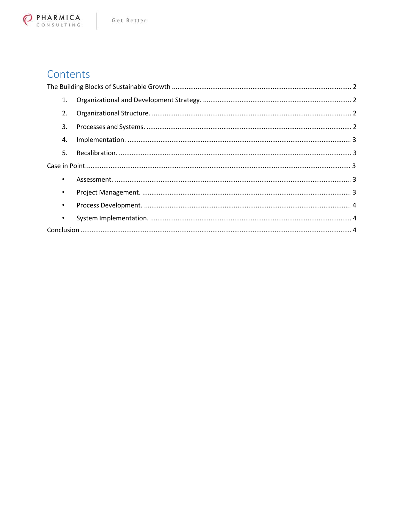

# Contents

| 1.        |  |  |  |
|-----------|--|--|--|
| 2.        |  |  |  |
| 3.        |  |  |  |
| 4.        |  |  |  |
| 5.        |  |  |  |
|           |  |  |  |
| $\bullet$ |  |  |  |
| $\bullet$ |  |  |  |
| $\bullet$ |  |  |  |
| $\bullet$ |  |  |  |
|           |  |  |  |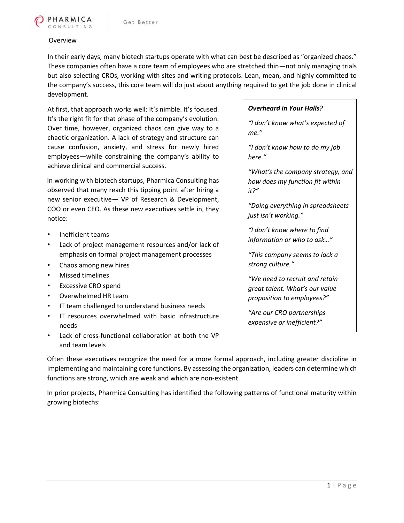

#### Overview

In their early days, many biotech startups operate with what can best be described as "organized chaos." These companies often have a core team of employees who are stretched thin—not only managing trials but also selecting CROs, working with sites and writing protocols. Lean, mean, and highly committed to the company's success, this core team will do just about anything required to get the job done in clinical development.

At first, that approach works well: It's nimble. It's focused. It's the right fit for that phase of the company's evolution. Over time, however, organized chaos can give way to a chaotic organization. A lack of strategy and structure can cause confusion, anxiety, and stress for newly hired employees—while constraining the company's ability to achieve clinical and commercial success.

In working with biotech startups, Pharmica Consulting has observed that many reach this tipping point after hiring a new senior executive— VP of Research & Development, COO or even CEO. As these new executives settle in, they notice:

- Inefficient teams
- Lack of project management resources and/or lack of emphasis on formal project management processes
- Chaos among new hires
- Missed timelines
- Excessive CRO spend
- Overwhelmed HR team
- IT team challenged to understand business needs
- IT resources overwhelmed with basic infrastructure needs
- Lack of cross-functional collaboration at both the VP and team levels

#### *Overheard in Your Halls?*

*"I don't know what's expected of me."*

*"I don't know how to do my job here."*

*"What's the company strategy, and how does my function fit within it?"*

*"Doing everything in spreadsheets just isn't working."*

*"I don't know where to find information or who to ask…"*

*"This company seems to lack a strong culture."*

*"We need to recruit and retain great talent. What's our value proposition to employees?"*

*"Are our CRO partnerships expensive or inefficient?"*

Often these executives recognize the need for a more formal approach, including greater discipline in implementing and maintaining core functions. By assessing the organization, leaders can determine which functions are strong, which are weak and which are non-existent.

In prior projects, Pharmica Consulting has identified the following patterns of functional maturity within growing biotechs: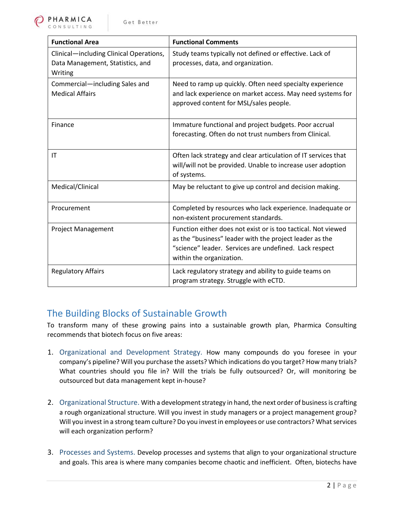| <b>Functional Area</b>                                                                 | <b>Functional Comments</b>                                                                                                                                                                                     |
|----------------------------------------------------------------------------------------|----------------------------------------------------------------------------------------------------------------------------------------------------------------------------------------------------------------|
| Clinical-including Clinical Operations,<br>Data Management, Statistics, and<br>Writing | Study teams typically not defined or effective. Lack of<br>processes, data, and organization.                                                                                                                  |
| Commercial-including Sales and<br><b>Medical Affairs</b>                               | Need to ramp up quickly. Often need specialty experience<br>and lack experience on market access. May need systems for<br>approved content for MSL/sales people.                                               |
| Finance                                                                                | Immature functional and project budgets. Poor accrual<br>forecasting. Often do not trust numbers from Clinical.                                                                                                |
| IT                                                                                     | Often lack strategy and clear articulation of IT services that<br>will/will not be provided. Unable to increase user adoption<br>of systems.                                                                   |
| Medical/Clinical                                                                       | May be reluctant to give up control and decision making.                                                                                                                                                       |
| Procurement                                                                            | Completed by resources who lack experience. Inadequate or<br>non-existent procurement standards.                                                                                                               |
| <b>Project Management</b>                                                              | Function either does not exist or is too tactical. Not viewed<br>as the "business" leader with the project leader as the<br>"science" leader. Services are undefined. Lack respect<br>within the organization. |
| <b>Regulatory Affairs</b>                                                              | Lack regulatory strategy and ability to guide teams on<br>program strategy. Struggle with eCTD.                                                                                                                |

## The Building Blocks of Sustainable Growth

To transform many of these growing pains into a sustainable growth plan, Pharmica Consulting recommends that biotech focus on five areas:

- 1. Organizational and Development Strategy. How many compounds do you foresee in your company's pipeline? Will you purchase the assets? Which indications do you target? How many trials? What countries should you file in? Will the trials be fully outsourced? Or, will monitoring be outsourced but data management kept in-house?
- 2. Organizational Structure. With a development strategy in hand, the next order of business is crafting a rough organizational structure. Will you invest in study managers or a project management group? Will you invest in a strong team culture? Do you invest in employees or use contractors? What services will each organization perform?
- 3. Processes and Systems. Develop processes and systems that align to your organizational structure and goals. This area is where many companies become chaotic and inefficient. Often, biotechs have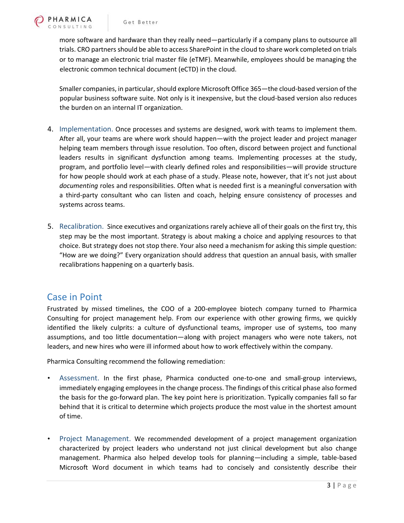more software and hardware than they really need—particularly if a company plans to outsource all trials. CRO partners should be able to access SharePoint in the cloud to share work completed on trials or to manage an electronic trial master file (eTMF). Meanwhile, employees should be managing the electronic common technical document (eCTD) in the cloud.

Smaller companies, in particular, should explore Microsoft Office 365—the cloud-based version of the popular business software suite. Not only is it inexpensive, but the cloud-based version also reduces the burden on an internal IT organization.

- 4. Implementation. Once processes and systems are designed, work with teams to implement them. After all, your teams are where work should happen—with the project leader and project manager helping team members through issue resolution. Too often, discord between project and functional leaders results in significant dysfunction among teams. Implementing processes at the study, program, and portfolio level—with clearly defined roles and responsibilities—will provide structure for how people should work at each phase of a study. Please note, however, that it's not just about *documenting* roles and responsibilities. Often what is needed first is a meaningful conversation with a third-party consultant who can listen and coach, helping ensure consistency of processes and systems across teams.
- 5. Recalibration. Since executives and organizations rarely achieve all of their goals on the first try, this step may be the most important. Strategy is about making a choice and applying resources to that choice. But strategy does not stop there. Your also need a mechanism for asking this simple question: "How are we doing?" Every organization should address that question an annual basis, with smaller recalibrations happening on a quarterly basis.

## Case in Point

Frustrated by missed timelines, the COO of a 200-employee biotech company turned to Pharmica Consulting for project management help. From our experience with other growing firms, we quickly identified the likely culprits: a culture of dysfunctional teams, improper use of systems, too many assumptions, and too little documentation—along with project managers who were note takers, not leaders, and new hires who were ill informed about how to work effectively within the company.

Pharmica Consulting recommend the following remediation:

- Assessment. In the first phase, Pharmica conducted one-to-one and small-group interviews, immediately engaging employees in the change process. The findings of this critical phase also formed the basis for the go-forward plan. The key point here is prioritization. Typically companies fall so far behind that it is critical to determine which projects produce the most value in the shortest amount of time.
- Project Management. We recommended development of a project management organization characterized by project leaders who understand not just clinical development but also change management. Pharmica also helped develop tools for planning—including a simple, table-based Microsoft Word document in which teams had to concisely and consistently describe their